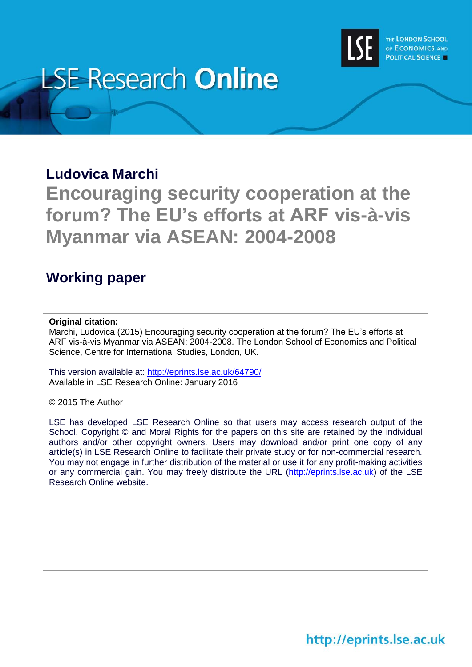

# **LSE Research Online**

# **Ludovica Marchi**

**Encouraging security cooperation at the forum? The EU's efforts at ARF vis-à-vis Myanmar via ASEAN: 2004-2008**

# **Working paper**

# **Original citation:**

Marchi, Ludovica (2015) Encouraging security cooperation at the forum? The EU's efforts at ARF vis-à-vis Myanmar via ASEAN: 2004-2008. The London School of Economics and Political Science, Centre for International Studies, London, UK.

This version available at:<http://eprints.lse.ac.uk/64790/> Available in LSE Research Online: January 2016

© 2015 The Author

LSE has developed LSE Research Online so that users may access research output of the School. Copyright © and Moral Rights for the papers on this site are retained by the individual authors and/or other copyright owners. Users may download and/or print one copy of any article(s) in LSE Research Online to facilitate their private study or for non-commercial research. You may not engage in further distribution of the material or use it for any profit-making activities or any commercial gain. You may freely distribute the URL (http://eprints.lse.ac.uk) of the LSE Research Online website.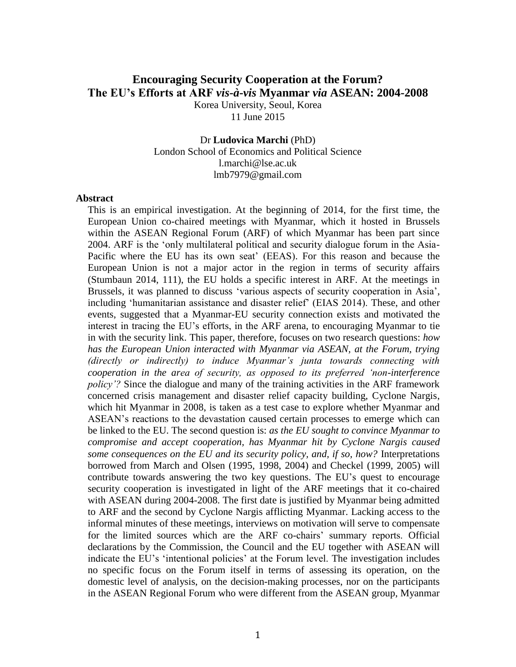# **Encouraging Security Cooperation at the Forum? The EU's Efforts at ARF** *vis-à-vis* **Myanmar** *via* **ASEAN: 2004-2008**

Korea University, Seoul, Korea 11 June 2015

Dr **Ludovica Marchi** (PhD) London School of Economics and Political Science [l.marchi@lse.ac.uk](mailto:l.marchi@lse.ac.uk) [lmb7979@gmail.com](mailto:lmb7979@gmail.com)

#### **Abstract**

This is an empirical investigation. At the beginning of 2014, for the first time, the European Union co-chaired meetings with Myanmar, which it hosted in Brussels within the ASEAN Regional Forum (ARF) of which Myanmar has been part since 2004. ARF is the 'only multilateral political and security dialogue forum in the Asia-Pacific where the EU has its own seat' (EEAS). For this reason and because the European Union is not a major actor in the region in terms of security affairs (Stumbaun 2014, 111), the EU holds a specific interest in ARF. At the meetings in Brussels, it was planned to discuss 'various aspects of security cooperation in Asia', including 'humanitarian assistance and disaster relief' (EIAS 2014). These, and other events, suggested that a Myanmar-EU security connection exists and motivated the interest in tracing the EU's efforts, in the ARF arena, to encouraging Myanmar to tie in with the security link. This paper, therefore, focuses on two research questions: *how has the European Union interacted with Myanmar via ASEAN, at the Forum, trying (directly or indirectly) to induce Myanmar's junta towards connecting with cooperation in the area of security, as opposed to its preferred 'non-interference policy*? Since the dialogue and many of the training activities in the ARF framework concerned crisis management and disaster relief capacity building, Cyclone Nargis, which hit Myanmar in 2008, is taken as a test case to explore whether Myanmar and ASEAN's reactions to the devastation caused certain processes to emerge which can be linked to the EU. The second question is: *as the EU sought to convince Myanmar to compromise and accept cooperation, has Myanmar hit by Cyclone Nargis caused some consequences on the EU and its security policy, and, if so, how?* Interpretations borrowed from March and Olsen (1995, 1998, 2004) and Checkel (1999, 2005) will contribute towards answering the two key questions. The EU's quest to encourage security cooperation is investigated in light of the ARF meetings that it co-chaired with ASEAN during 2004-2008. The first date is justified by Myanmar being admitted to ARF and the second by Cyclone Nargis afflicting Myanmar. Lacking access to the informal minutes of these meetings, interviews on motivation will serve to compensate for the limited sources which are the ARF co-chairs' summary reports. Official declarations by the Commission, the Council and the EU together with ASEAN will indicate the EU's 'intentional policies' at the Forum level. The investigation includes no specific focus on the Forum itself in terms of assessing its operation, on the domestic level of analysis, on the decision-making processes, nor on the participants in the ASEAN Regional Forum who were different from the ASEAN group, Myanmar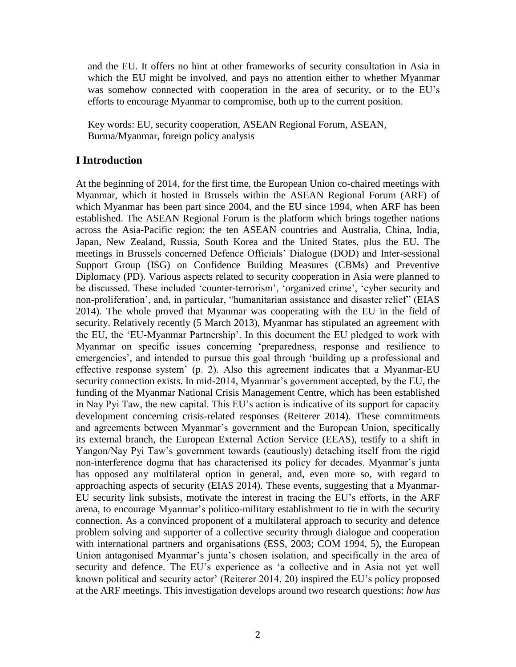and the EU. It offers no hint at other frameworks of security consultation in Asia in which the EU might be involved, and pays no attention either to whether Myanmar was somehow connected with cooperation in the area of security, or to the EU's efforts to encourage Myanmar to compromise, both up to the current position.

Key words: EU, security cooperation, ASEAN Regional Forum, ASEAN, Burma/Myanmar, foreign policy analysis

# **I Introduction**

At the beginning of 2014, for the first time, the European Union co-chaired meetings with Myanmar, which it hosted in Brussels within the ASEAN Regional Forum (ARF) of which Myanmar has been part since 2004, and the EU since 1994, when ARF has been established. The ASEAN Regional Forum is the platform which brings together nations across the Asia-Pacific region: the ten ASEAN countries and Australia, China, India, Japan, New Zealand, Russia, South Korea and the United States, plus the EU. The meetings in Brussels concerned Defence Officials' Dialogue (DOD) and Inter-sessional Support Group (ISG) on Confidence Building Measures (CBMs) and Preventive Diplomacy (PD). Various aspects related to security cooperation in Asia were planned to be discussed. These included 'counter-terrorism', 'organized crime', 'cyber security and non-proliferation', and, in particular, "humanitarian assistance and disaster relief" (EIAS 2014). The whole proved that Myanmar was cooperating with the EU in the field of security. Relatively recently (5 March 2013), Myanmar has stipulated an agreement with the EU, the 'EU-Myanmar Partnership'. In this document the EU pledged to work with Myanmar on specific issues concerning 'preparedness, response and resilience to emergencies', and intended to pursue this goal through 'building up a professional and effective response system' (p. 2). Also this agreement indicates that a Myanmar-EU security connection exists. In mid-2014, Myanmar's government accepted, by the EU, the funding of the Myanmar National Crisis Management Centre, which has been established in Nay Pyi Taw, the new capital. This EU's action is indicative of its support for capacity development concerning crisis-related responses (Reiterer 2014). These commitments and agreements between Myanmar's government and the European Union, specifically its external branch, the European External Action Service (EEAS), testify to a shift in Yangon/Nay Pyi Taw's government towards (cautiously) detaching itself from the rigid non-interference dogma that has characterised its policy for decades. Myanmar's junta has opposed any multilateral option in general, and, even more so, with regard to approaching aspects of security (EIAS 2014). These events, suggesting that a Myanmar-EU security link subsists, motivate the interest in tracing the EU's efforts, in the ARF arena, to encourage Myanmar's politico-military establishment to tie in with the security connection. As a convinced proponent of a multilateral approach to security and defence problem solving and supporter of a collective security through dialogue and cooperation with international partners and organisations (ESS, 2003; COM 1994, 5), the European Union antagonised Myanmar's junta's chosen isolation, and specifically in the area of security and defence. The EU's experience as 'a collective and in Asia not yet well known political and security actor' (Reiterer 2014, 20) inspired the EU's policy proposed at the ARF meetings. This investigation develops around two research questions: *how has*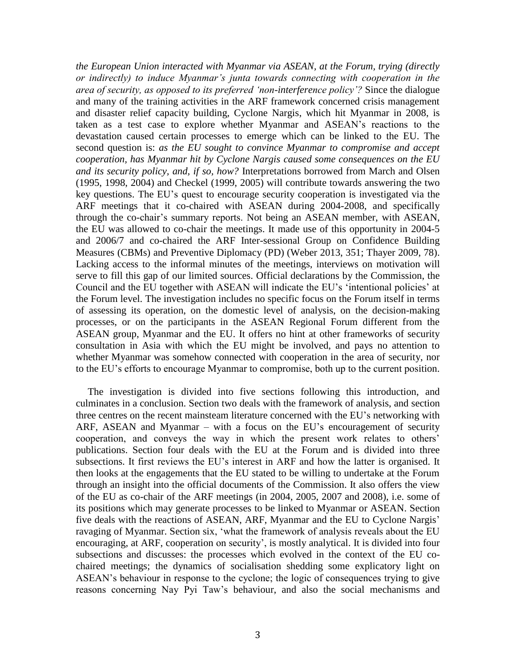*the European Union interacted with Myanmar via ASEAN, at the Forum, trying (directly or indirectly) to induce Myanmar's junta towards connecting with cooperation in the area of security, as opposed to its preferred 'non-interference policy'?* Since the dialogue and many of the training activities in the ARF framework concerned crisis management and disaster relief capacity building, Cyclone Nargis, which hit Myanmar in 2008, is taken as a test case to explore whether Myanmar and ASEAN's reactions to the devastation caused certain processes to emerge which can be linked to the EU. The second question is: *as the EU sought to convince Myanmar to compromise and accept cooperation, has Myanmar hit by Cyclone Nargis caused some consequences on the EU and its security policy, and, if so, how?* Interpretations borrowed from March and Olsen (1995, 1998, 2004) and Checkel (1999, 2005) will contribute towards answering the two key questions. The EU's quest to encourage security cooperation is investigated via the ARF meetings that it co-chaired with ASEAN during 2004-2008, and specifically through the co-chair's summary reports. Not being an ASEAN member, with ASEAN, the EU was allowed to co-chair the meetings. It made use of this opportunity in 2004-5 and 2006/7 and co-chaired the ARF Inter-sessional Group on Confidence Building Measures (CBMs) and Preventive Diplomacy (PD) (Weber 2013, 351; Thayer 2009, 78). Lacking access to the informal minutes of the meetings, interviews on motivation will serve to fill this gap of our limited sources. Official declarations by the Commission, the Council and the EU together with ASEAN will indicate the EU's 'intentional policies' at the Forum level. The investigation includes no specific focus on the Forum itself in terms of assessing its operation, on the domestic level of analysis, on the decision-making processes, or on the participants in the ASEAN Regional Forum different from the ASEAN group, Myanmar and the EU. It offers no hint at other frameworks of security consultation in Asia with which the EU might be involved, and pays no attention to whether Myanmar was somehow connected with cooperation in the area of security, nor to the EU's efforts to encourage Myanmar to compromise, both up to the current position.

The investigation is divided into five sections following this introduction, and culminates in a conclusion. Section two deals with the framework of analysis, and section three centres on the recent mainsteam literature concerned with the EU's networking with ARF, ASEAN and Myanmar – with a focus on the EU's encouragement of security cooperation, and conveys the way in which the present work relates to others' publications. Section four deals with the EU at the Forum and is divided into three subsections. It first reviews the EU's interest in ARF and how the latter is organised. It then looks at the engagements that the EU stated to be willing to undertake at the Forum through an insight into the official documents of the Commission. It also offers the view of the EU as co-chair of the ARF meetings (in 2004, 2005, 2007 and 2008), i.e. some of its positions which may generate processes to be linked to Myanmar or ASEAN. Section five deals with the reactions of ASEAN, ARF, Myanmar and the EU to Cyclone Nargis' ravaging of Myanmar. Section six, 'what the framework of analysis reveals about the EU encouraging, at ARF, cooperation on security', is mostly analytical. It is divided into four subsections and discusses: the processes which evolved in the context of the EU cochaired meetings; the dynamics of socialisation shedding some explicatory light on ASEAN's behaviour in response to the cyclone; the logic of consequences trying to give reasons concerning Nay Pyi Taw's behaviour, and also the social mechanisms and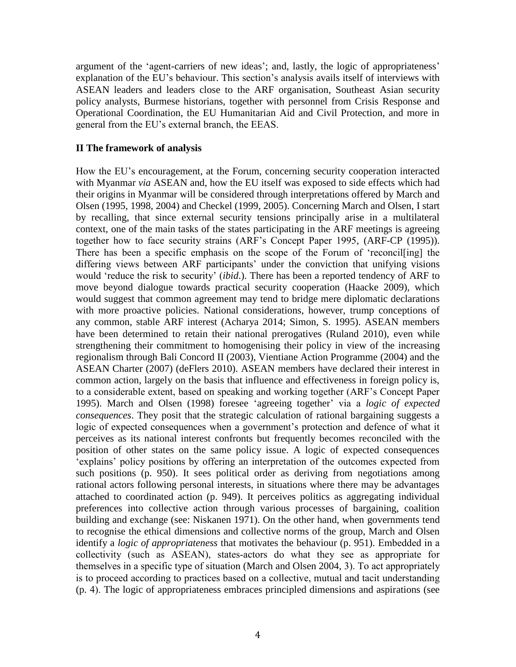argument of the 'agent-carriers of new ideas'; and, lastly, the logic of appropriateness' explanation of the EU's behaviour. This section's analysis avails itself of interviews with ASEAN leaders and leaders close to the ARF organisation, Southeast Asian security policy analysts, Burmese historians, together with personnel from Crisis Response and Operational Coordination, the EU Humanitarian Aid and Civil Protection, and more in general from the EU's external branch, the EEAS.

# **II The framework of analysis**

How the EU's encouragement, at the Forum, concerning security cooperation interacted with Myanmar *via* ASEAN and, how the EU itself was exposed to side effects which had their origins in Myanmar will be considered through interpretations offered by March and Olsen (1995, 1998, 2004) and Checkel (1999, 2005). Concerning March and Olsen, I start by recalling, that since external security tensions principally arise in a multilateral context, one of the main tasks of the states participating in the ARF meetings is agreeing together how to face security strains (ARF's Concept Paper 1995, (ARF-CP (1995)). There has been a specific emphasis on the scope of the Forum of 'reconcil[ing] the differing views between ARF participants' under the conviction that unifying visions would 'reduce the risk to security' (*ibid*.). There has been a reported tendency of ARF to move beyond dialogue towards practical security cooperation (Haacke 2009), which would suggest that common agreement may tend to bridge mere diplomatic declarations with more proactive policies. National considerations, however, trump conceptions of any common, stable ARF interest (Acharya 2014; Simon, S. 1995). ASEAN members have been determined to retain their national prerogatives (Ruland 2010), even while strengthening their commitment to homogenising their policy in view of the increasing regionalism through Bali Concord II (2003), Vientiane Action Programme (2004) and the ASEAN Charter (2007) (deFlers 2010). ASEAN members have declared their interest in common action, largely on the basis that influence and effectiveness in foreign policy is, to a considerable extent, based on speaking and working together (ARF's Concept Paper 1995). March and Olsen (1998) foresee 'agreeing together' via a *logic of expected consequences*. They posit that the strategic calculation of rational bargaining suggests a logic of expected consequences when a government's protection and defence of what it perceives as its national interest confronts but frequently becomes reconciled with the position of other states on the same policy issue. A logic of expected consequences 'explains' policy positions by offering an interpretation of the outcomes expected from such positions (p. 950). It sees political order as deriving from negotiations among rational actors following personal interests, in situations where there may be advantages attached to coordinated action (p. 949). It perceives politics as aggregating individual preferences into collective action through various processes of bargaining, coalition building and exchange (see: Niskanen 1971). On the other hand, when governments tend to recognise the ethical dimensions and collective norms of the group, March and Olsen identify a *logic of appropriateness* that motivates the behaviour (p. 951). Embedded in a collectivity (such as ASEAN), states-actors do what they see as appropriate for themselves in a specific type of situation (March and Olsen 2004, 3). To act appropriately is to proceed according to practices based on a collective, mutual and tacit understanding (p. 4). The logic of appropriateness embraces principled dimensions and aspirations (see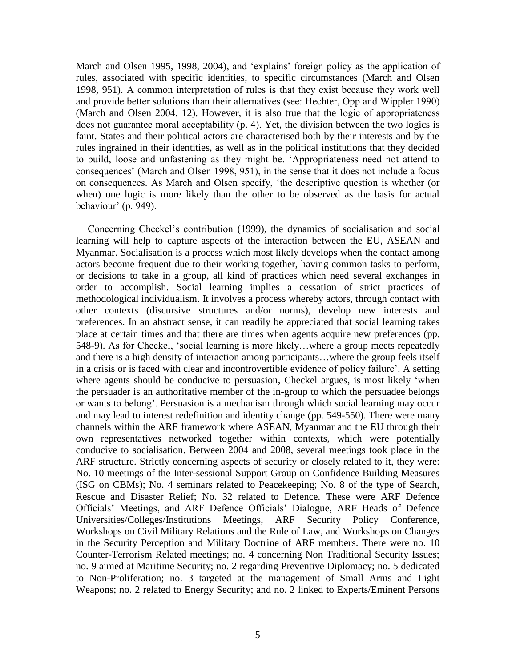March and Olsen 1995, 1998, 2004), and 'explains' foreign policy as the application of rules, associated with specific identities, to specific circumstances (March and Olsen 1998, 951). A common interpretation of rules is that they exist because they work well and provide better solutions than their alternatives (see: Hechter, Opp and Wippler 1990) (March and Olsen 2004, 12). However, it is also true that the logic of appropriateness does not guarantee moral acceptability (p. 4). Yet, the division between the two logics is faint. States and their political actors are characterised both by their interests and by the rules ingrained in their identities, as well as in the political institutions that they decided to build, loose and unfastening as they might be. 'Appropriateness need not attend to consequences' (March and Olsen 1998, 951), in the sense that it does not include a focus on consequences. As March and Olsen specify, 'the descriptive question is whether (or when) one logic is more likely than the other to be observed as the basis for actual behaviour' (p. 949).

Concerning Checkel's contribution (1999), the dynamics of socialisation and social learning will help to capture aspects of the interaction between the EU, ASEAN and Myanmar. Socialisation is a process which most likely develops when the contact among actors become frequent due to their working together, having common tasks to perform, or decisions to take in a group, all kind of practices which need several exchanges in order to accomplish. Social learning implies a cessation of strict practices of methodological individualism. It involves a process whereby actors, through contact with other contexts (discursive structures and/or norms), develop new interests and preferences. In an abstract sense, it can readily be appreciated that social learning takes place at certain times and that there are times when agents acquire new preferences (pp. 548-9). As for Checkel, 'social learning is more likely…where a group meets repeatedly and there is a high density of interaction among participants…where the group feels itself in a crisis or is faced with clear and incontrovertible evidence of policy failure'. A setting where agents should be conducive to persuasion, Checkel argues, is most likely 'when the persuader is an authoritative member of the in-group to which the persuadee belongs or wants to belong'. Persuasion is a mechanism through which social learning may occur and may lead to interest redefinition and identity change (pp. 549-550). There were many channels within the ARF framework where ASEAN, Myanmar and the EU through their own representatives networked together within contexts, which were potentially conducive to socialisation. Between 2004 and 2008, several meetings took place in the ARF structure. Strictly concerning aspects of security or closely related to it, they were: No. 10 meetings of the Inter-sessional Support Group on Confidence Building Measures (ISG on CBMs); No. 4 seminars related to Peacekeeping; No. 8 of the type of Search, Rescue and Disaster Relief; No. 32 related to Defence. These were ARF Defence Officials' Meetings, and ARF Defence Officials' Dialogue, ARF Heads of Defence Universities/Colleges/Institutions Meetings, ARF Security Policy Conference, Workshops on Civil Military Relations and the Rule of Law, and Workshops on Changes in the Security Perception and Military Doctrine of ARF members. There were no. 10 Counter-Terrorism Related meetings; no. 4 concerning Non Traditional Security Issues; no. 9 aimed at Maritime Security; no. 2 regarding Preventive Diplomacy; no. 5 dedicated to Non-Proliferation; no. 3 targeted at the management of Small Arms and Light Weapons; no. 2 related to Energy Security; and no. 2 linked to Experts/Eminent Persons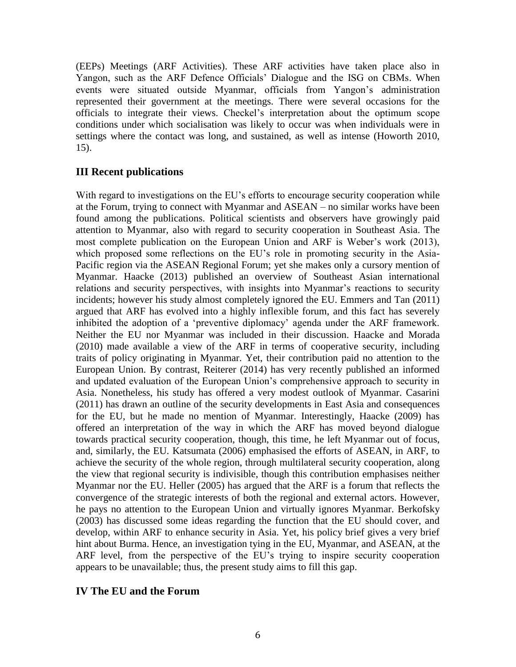(EEPs) Meetings (ARF Activities). These ARF activities have taken place also in Yangon, such as the ARF Defence Officials' Dialogue and the ISG on CBMs. When events were situated outside Myanmar, officials from Yangon's administration represented their government at the meetings. There were several occasions for the officials to integrate their views. Checkel's interpretation about the optimum scope conditions under which socialisation was likely to occur was when individuals were in settings where the contact was long, and sustained, as well as intense (Howorth 2010, 15).

# **III Recent publications**

With regard to investigations on the EU's efforts to encourage security cooperation while at the Forum, trying to connect with Myanmar and ASEAN – no similar works have been found among the publications. Political scientists and observers have growingly paid attention to Myanmar, also with regard to security cooperation in Southeast Asia. The most complete publication on the European Union and ARF is Weber's work (2013), which proposed some reflections on the EU's role in promoting security in the Asia-Pacific region via the ASEAN Regional Forum; yet she makes only a cursory mention of Myanmar. Haacke (2013) published an overview of Southeast Asian international relations and security perspectives, with insights into Myanmar's reactions to security incidents; however his study almost completely ignored the EU. Emmers and Tan (2011) argued that ARF has evolved into a highly inflexible forum, and this fact has severely inhibited the adoption of a 'preventive diplomacy' agenda under the ARF framework. Neither the EU nor Myanmar was included in their discussion. Haacke and Morada (2010) made available a view of the ARF in terms of cooperative security, including traits of policy originating in Myanmar. Yet, their contribution paid no attention to the European Union. By contrast, Reiterer (2014) has very recently published an informed and updated evaluation of the European Union's comprehensive approach to security in Asia. Nonetheless, his study has offered a very modest outlook of Myanmar. Casarini (2011) has drawn an outline of the security developments in East Asia and consequences for the EU, but he made no mention of Myanmar. Interestingly, Haacke (2009) has offered an interpretation of the way in which the ARF has moved beyond dialogue towards practical security cooperation, though, this time, he left Myanmar out of focus, and, similarly, the EU. Katsumata (2006) emphasised the efforts of ASEAN, in ARF, to achieve the security of the whole region, through multilateral security cooperation, along the view that regional security is indivisible, though this contribution emphasises neither Myanmar nor the EU. Heller (2005) has argued that the ARF is a forum that reflects the convergence of the strategic interests of both the regional and external actors. However, he pays no attention to the European Union and virtually ignores Myanmar. Berkofsky (2003) has discussed some ideas regarding the function that the EU should cover, and develop, within ARF to enhance security in Asia. Yet, his policy brief gives a very brief hint about Burma. Hence, an investigation tying in the EU, Myanmar, and ASEAN, at the ARF level, from the perspective of the EU's trying to inspire security cooperation appears to be unavailable; thus, the present study aims to fill this gap.

# **IV The EU and the Forum**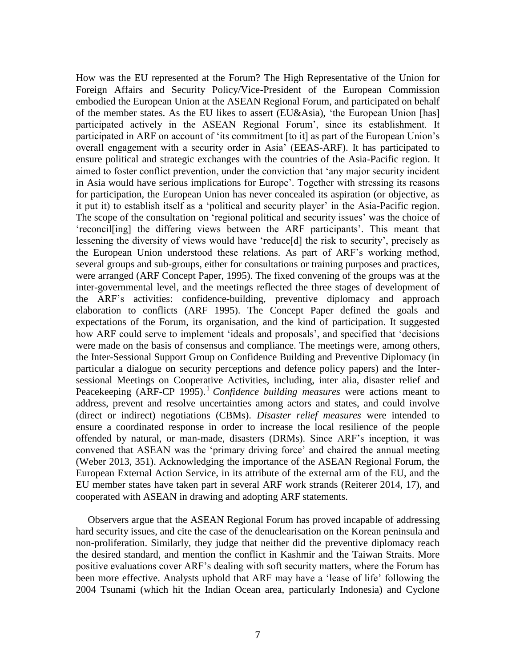How was the EU represented at the Forum? The High Representative of the Union for Foreign Affairs and Security Policy/Vice-President of the European Commission embodied the European Union at the ASEAN Regional Forum, and participated on behalf of the member states. As the EU likes to assert (EU&Asia), 'the European Union [has] participated actively in the ASEAN Regional Forum', since its establishment. It participated in ARF on account of 'its commitment [to it] as part of the European Union's overall engagement with a security order in Asia' (EEAS-ARF). It has participated to ensure political and strategic exchanges with the countries of the Asia-Pacific region. It aimed to foster conflict prevention, under the conviction that 'any major security incident in Asia would have serious implications for Europe'. Together with stressing its reasons for participation, the European Union has never concealed its aspiration (or objective, as it put it) to establish itself as a 'political and security player' in the Asia-Pacific region. The scope of the consultation on 'regional political and security issues' was the choice of 'reconcil[ing] the differing views between the ARF participants'. This meant that lessening the diversity of views would have 'reduce[d] the risk to security', precisely as the European Union understood these relations. As part of ARF's working method, several groups and sub-groups, either for consultations or training purposes and practices, were arranged (ARF Concept Paper, 1995). The fixed convening of the groups was at the inter-governmental level, and the meetings reflected the three stages of development of the ARF's activities: confidence-building, preventive diplomacy and approach elaboration to conflicts (ARF 1995). The Concept Paper defined the goals and expectations of the Forum, its organisation, and the kind of participation. It suggested how ARF could serve to implement 'ideals and proposals', and specified that 'decisions were made on the basis of consensus and compliance. The meetings were, among others, the Inter-Sessional Support Group on Confidence Building and Preventive Diplomacy (in particular a dialogue on security perceptions and defence policy papers) and the Intersessional Meetings on Cooperative Activities, including, inter alia, disaster relief and Peacekeeping (ARF-CP 1995).<sup>1</sup> *Confidence building measures* were actions meant to address, prevent and resolve uncertainties among actors and states, and could involve (direct or indirect) negotiations (CBMs). *Disaster relief measures* were intended to ensure a coordinated response in order to increase the local resilience of the people offended by natural, or man-made, disasters (DRMs). Since ARF's inception, it was convened that ASEAN was the 'primary driving force' and chaired the annual meeting (Weber 2013, 351). Acknowledging the importance of the ASEAN Regional Forum, the European External Action Service, in its attribute of the external arm of the EU, and the EU member states have taken part in several ARF work strands (Reiterer 2014, 17), and cooperated with ASEAN in drawing and adopting ARF statements.

Observers argue that the ASEAN Regional Forum has proved incapable of addressing hard security issues, and cite the case of the denuclearisation on the Korean peninsula and non-proliferation. Similarly, they judge that neither did the preventive diplomacy reach the desired standard, and mention the conflict in Kashmir and the Taiwan Straits. More positive evaluations cover ARF's dealing with soft security matters, where the Forum has been more effective. Analysts uphold that ARF may have a 'lease of life' following the 2004 Tsunami (which hit the Indian Ocean area, particularly Indonesia) and Cyclone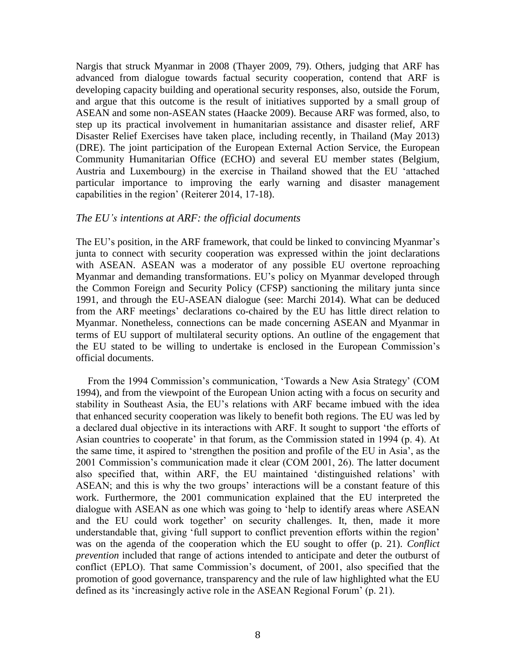Nargis that struck Myanmar in 2008 (Thayer 2009, 79). Others, judging that ARF has advanced from dialogue towards factual security cooperation, contend that ARF is developing capacity building and operational security responses, also, outside the Forum, and argue that this outcome is the result of initiatives supported by a small group of ASEAN and some non-ASEAN states (Haacke 2009). Because ARF was formed, also, to step up its practical involvement in humanitarian assistance and disaster relief, ARF Disaster Relief Exercises have taken place, including recently, in Thailand (May 2013) (DRE). The joint participation of the European External Action Service, the European Community Humanitarian Office (ECHO) and several EU member states (Belgium, Austria and Luxembourg) in the exercise in Thailand showed that the EU 'attached particular importance to improving the early warning and disaster management capabilities in the region' (Reiterer 2014, 17-18).

# *The EU's intentions at ARF: the official documents*

The EU's position, in the ARF framework, that could be linked to convincing Myanmar's junta to connect with security cooperation was expressed within the joint declarations with ASEAN. ASEAN was a moderator of any possible EU overtone reproaching Myanmar and demanding transformations. EU's policy on Myanmar developed through the Common Foreign and Security Policy (CFSP) sanctioning the military junta since 1991, and through the EU-ASEAN dialogue (see: Marchi 2014). What can be deduced from the ARF meetings' declarations co-chaired by the EU has little direct relation to Myanmar. Nonetheless, connections can be made concerning ASEAN and Myanmar in terms of EU support of multilateral security options. An outline of the engagement that the EU stated to be willing to undertake is enclosed in the European Commission's official documents.

From the 1994 Commission's communication, 'Towards a New Asia Strategy' (COM 1994), and from the viewpoint of the European Union acting with a focus on security and stability in Southeast Asia, the EU's relations with ARF became imbued with the idea that enhanced security cooperation was likely to benefit both regions. The EU was led by a declared dual objective in its interactions with ARF. It sought to support 'the efforts of Asian countries to cooperate' in that forum, as the Commission stated in 1994 (p. 4). At the same time, it aspired to 'strengthen the position and profile of the EU in Asia', as the 2001 Commission's communication made it clear (COM 2001, 26). The latter document also specified that, within ARF, the EU maintained 'distinguished relations' with ASEAN; and this is why the two groups' interactions will be a constant feature of this work. Furthermore, the 2001 communication explained that the EU interpreted the dialogue with ASEAN as one which was going to 'help to identify areas where ASEAN and the EU could work together' on security challenges. It, then, made it more understandable that, giving 'full support to conflict prevention efforts within the region' was on the agenda of the cooperation which the EU sought to offer (p. 21). *Conflict prevention* included that range of actions intended to anticipate and deter the outburst of conflict (EPLO). That same Commission's document, of 2001, also specified that the promotion of good governance, transparency and the rule of law highlighted what the EU defined as its 'increasingly active role in the ASEAN Regional Forum' (p. 21).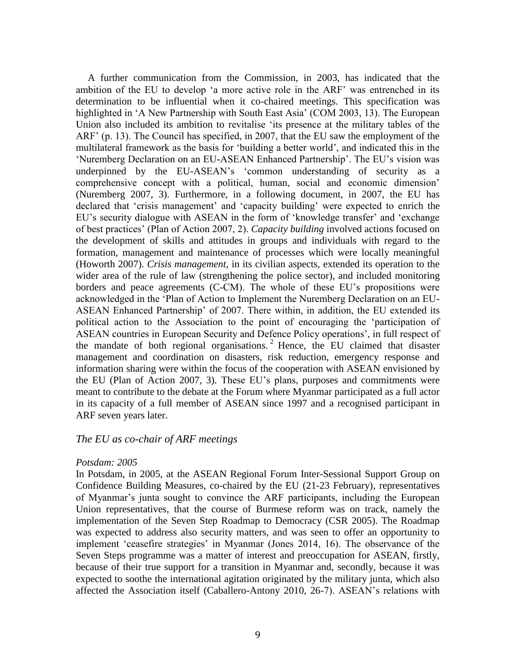A further communication from the Commission, in 2003, has indicated that the ambition of the EU to develop 'a more active role in the ARF' was entrenched in its determination to be influential when it co-chaired meetings. This specification was highlighted in 'A New Partnership with South East Asia' (COM 2003, 13). The European Union also included its ambition to revitalise 'its presence at the military tables of the ARF' (p. 13). The Council has specified, in 2007, that the EU saw the employment of the multilateral framework as the basis for 'building a better world', and indicated this in the 'Nuremberg Declaration on an EU-ASEAN Enhanced Partnership'. The EU's vision was underpinned by the EU-ASEAN's 'common understanding of security as a comprehensive concept with a political, human, social and economic dimension' (Nuremberg 2007, 3). Furthermore, in a following document, in 2007, the EU has declared that 'crisis management' and 'capacity building' were expected to enrich the EU's security dialogue with ASEAN in the form of 'knowledge transfer' and 'exchange of best practices' (Plan of Action 2007, 2). *Capacity building* involved actions focused on the development of skills and attitudes in groups and individuals with regard to the formation, management and maintenance of processes which were locally meaningful (Howorth 2007). *Crisis management*, in its civilian aspects, extended its operation to the wider area of the rule of law (strengthening the police sector), and included monitoring borders and peace agreements (C-CM). The whole of these EU's propositions were acknowledged in the 'Plan of Action to Implement the Nuremberg Declaration on an EU-ASEAN Enhanced Partnership' of 2007. There within, in addition, the EU extended its political action to the Association to the point of encouraging the 'participation of ASEAN countries in European Security and Defence Policy operations', in full respect of the mandate of both regional organisations. <sup>2</sup> Hence, the EU claimed that disaster management and coordination on disasters, risk reduction, emergency response and information sharing were within the focus of the cooperation with ASEAN envisioned by the EU (Plan of Action 2007, 3). These EU's plans, purposes and commitments were meant to contribute to the debate at the Forum where Myanmar participated as a full actor in its capacity of a full member of ASEAN since 1997 and a recognised participant in ARF seven years later.

#### *The EU as co-chair of ARF meetings*

#### *Potsdam: 2005*

In Potsdam, in 2005, at the ASEAN Regional Forum Inter-Sessional Support Group on Confidence Building Measures, co-chaired by the EU (21-23 February), representatives of Myanmar's junta sought to convince the ARF participants, including the European Union representatives, that the course of Burmese reform was on track, namely the implementation of the Seven Step Roadmap to Democracy (CSR 2005). The Roadmap was expected to address also security matters, and was seen to offer an opportunity to implement 'ceasefire strategies' in Myanmar (Jones 2014, 16). The observance of the Seven Steps programme was a matter of interest and preoccupation for ASEAN, firstly, because of their true support for a transition in Myanmar and, secondly, because it was expected to soothe the international agitation originated by the military junta, which also affected the Association itself (Caballero-Antony 2010, 26-7). ASEAN's relations with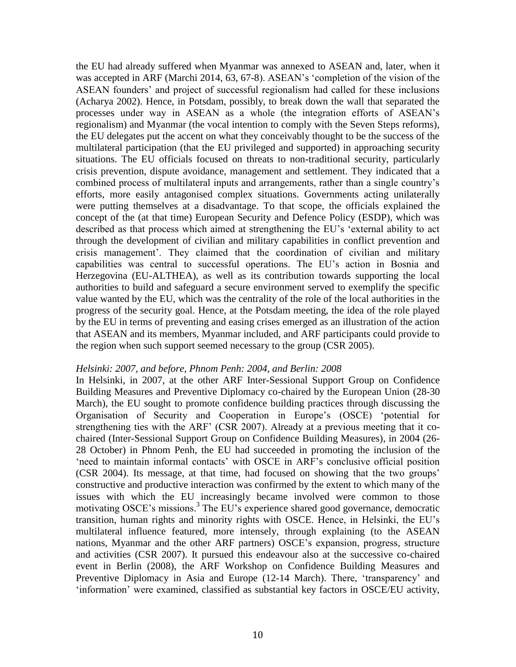the EU had already suffered when Myanmar was annexed to ASEAN and, later, when it was accepted in ARF (Marchi 2014, 63, 67-8). ASEAN's 'completion of the vision of the ASEAN founders' and project of successful regionalism had called for these inclusions (Acharya 2002). Hence, in Potsdam, possibly, to break down the wall that separated the processes under way in ASEAN as a whole (the integration efforts of ASEAN's regionalism) and Myanmar (the vocal intention to comply with the Seven Steps reforms), the EU delegates put the accent on what they conceivably thought to be the success of the multilateral participation (that the EU privileged and supported) in approaching security situations. The EU officials focused on threats to non-traditional security, particularly crisis prevention, dispute avoidance, management and settlement. They indicated that a combined process of multilateral inputs and arrangements, rather than a single country's efforts, more easily antagonised complex situations. Governments acting unilaterally were putting themselves at a disadvantage. To that scope, the officials explained the concept of the (at that time) European Security and Defence Policy (ESDP), which was described as that process which aimed at strengthening the EU's 'external ability to act through the development of civilian and military capabilities in conflict prevention and crisis management'. They claimed that the coordination of civilian and military capabilities was central to successful operations. The EU's action in Bosnia and Herzegovina (EU-ALTHEA), as well as its contribution towards supporting the local authorities to build and safeguard a secure environment served to exemplify the specific value wanted by the EU, which was the centrality of the role of the local authorities in the progress of the security goal. Hence, at the Potsdam meeting, the idea of the role played by the EU in terms of preventing and easing crises emerged as an illustration of the action that ASEAN and its members, Myanmar included, and ARF participants could provide to the region when such support seemed necessary to the group (CSR 2005).

#### *Helsinki: 2007, and before, Phnom Penh: 2004, and Berlin: 2008*

In Helsinki, in 2007, at the other ARF Inter-Sessional Support Group on Confidence Building Measures and Preventive Diplomacy co-chaired by the European Union (28-30 March), the EU sought to promote confidence building practices through discussing the Organisation of Security and Cooperation in Europe's (OSCE) 'potential for strengthening ties with the ARF' (CSR 2007). Already at a previous meeting that it cochaired (Inter-Sessional Support Group on Confidence Building Measures), in 2004 (26- 28 October) in Phnom Penh, the EU had succeeded in promoting the inclusion of the 'need to maintain informal contacts' with OSCE in ARF's conclusive official position (CSR 2004). Its message, at that time, had focused on showing that the two groups' constructive and productive interaction was confirmed by the extent to which many of the issues with which the EU increasingly became involved were common to those motivating OSCE's missions.<sup>3</sup> The EU's experience shared good governance, democratic transition, human rights and minority rights with OSCE. Hence, in Helsinki, the EU's multilateral influence featured, more intensely, through explaining (to the ASEAN nations, Myanmar and the other ARF partners) OSCE's expansion, progress, structure and activities (CSR 2007). It pursued this endeavour also at the successive co-chaired event in Berlin (2008), the ARF Workshop on Confidence Building Measures and Preventive Diplomacy in Asia and Europe (12-14 March). There, 'transparency' and 'information' were examined, classified as substantial key factors in OSCE/EU activity,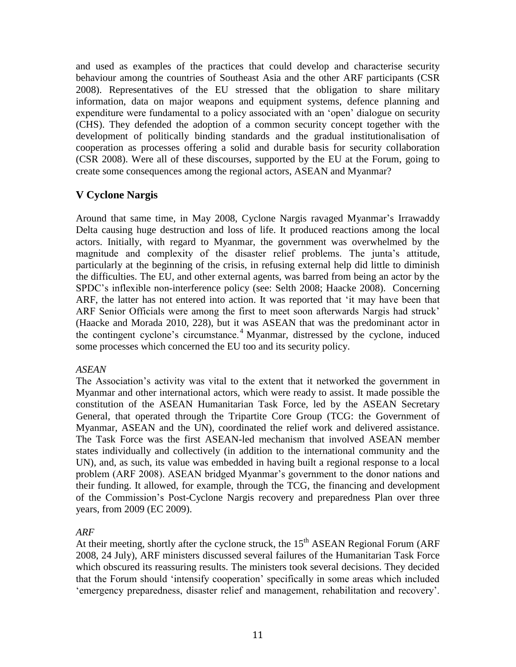and used as examples of the practices that could develop and characterise security behaviour among the countries of Southeast Asia and the other ARF participants (CSR 2008). Representatives of the EU stressed that the obligation to share military information, data on major weapons and equipment systems, defence planning and expenditure were fundamental to a policy associated with an 'open' dialogue on security (CHS). They defended the adoption of a common security concept together with the development of politically binding standards and the gradual institutionalisation of cooperation as processes offering a solid and durable basis for security collaboration (CSR 2008). Were all of these discourses, supported by the EU at the Forum, going to create some consequences among the regional actors, ASEAN and Myanmar?

# **V Cyclone Nargis**

Around that same time, in May 2008, Cyclone Nargis ravaged Myanmar's Irrawaddy Delta causing huge destruction and loss of life. It produced reactions among the local actors. Initially, with regard to Myanmar, the government was overwhelmed by the magnitude and complexity of the disaster relief problems. The junta's attitude, particularly at the beginning of the crisis, in refusing external help did little to diminish the difficulties. The EU, and other external agents, was barred from being an actor by the SPDC's inflexible non-interference policy (see: Selth 2008; Haacke 2008). Concerning ARF, the latter has not entered into action. It was reported that 'it may have been that ARF Senior Officials were among the first to meet soon afterwards Nargis had struck' (Haacke and Morada 2010, 228), but it was ASEAN that was the predominant actor in the contingent cyclone's circumstance.<sup>4</sup> Myanmar, distressed by the cyclone, induced some processes which concerned the EU too and its security policy.

# *ASEAN*

The Association's activity was vital to the extent that it networked the government in Myanmar and other international actors, which were ready to assist. It made possible the constitution of the ASEAN Humanitarian Task Force, led by the ASEAN Secretary General, that operated through the Tripartite Core Group (TCG: the Government of Myanmar, ASEAN and the UN), coordinated the relief work and delivered assistance. The Task Force was the first ASEAN-led mechanism that involved ASEAN member states individually and collectively (in addition to the international community and the UN), and, as such, its value was embedded in having built a regional response to a local problem (ARF 2008). ASEAN bridged Myanmar's government to the donor nations and their funding. It allowed, for example, through the TCG, the financing and development of the Commission's Post-Cyclone Nargis recovery and preparedness Plan over three years, from 2009 (EC 2009).

# *ARF*

At their meeting, shortly after the cyclone struck, the  $15<sup>th</sup>$  ASEAN Regional Forum (ARF 2008, 24 July), ARF ministers discussed several failures of the Humanitarian Task Force which obscured its reassuring results. The ministers took several decisions. They decided that the Forum should 'intensify cooperation' specifically in some areas which included 'emergency preparedness, disaster relief and management, rehabilitation and recovery'.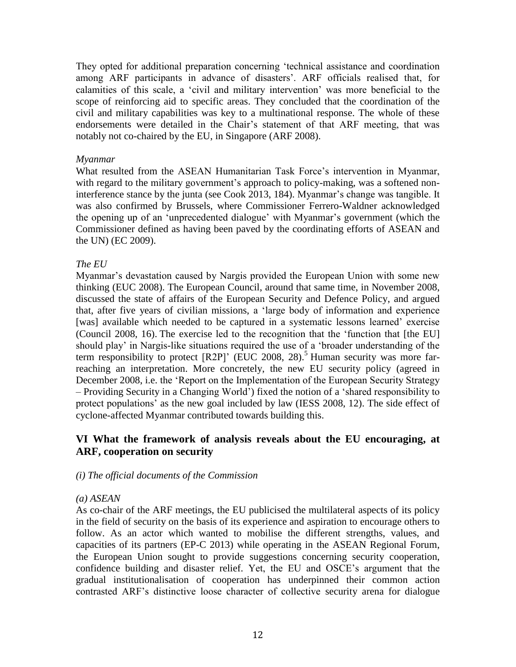They opted for additional preparation concerning 'technical assistance and coordination among ARF participants in advance of disasters'. ARF officials realised that, for calamities of this scale, a 'civil and military intervention' was more beneficial to the scope of reinforcing aid to specific areas. They concluded that the coordination of the civil and military capabilities was key to a multinational response. The whole of these endorsements were detailed in the Chair's statement of that ARF meeting, that was notably not co-chaired by the EU, in Singapore (ARF 2008).

## *Myanmar*

What resulted from the ASEAN Humanitarian Task Force's intervention in Myanmar, with regard to the military government's approach to policy-making, was a softened noninterference stance by the junta (see Cook 2013, 184). Myanmar's change was tangible. It was also confirmed by Brussels, where Commissioner Ferrero-Waldner acknowledged the opening up of an 'unprecedented dialogue' with Myanmar's government (which the Commissioner defined as having been paved by the coordinating efforts of ASEAN and the UN) (EC 2009).

# *The EU*

Myanmar's devastation caused by Nargis provided the European Union with some new thinking (EUC 2008). The European Council, around that same time, in November 2008, discussed the state of affairs of the European Security and Defence Policy, and argued that, after five years of civilian missions, a 'large body of information and experience [was] available which needed to be captured in a systematic lessons learned' exercise (Council 2008, 16). The exercise led to the recognition that the 'function that [the EU] should play' in Nargis-like situations required the use of a 'broader understanding of the term responsibility to protect [R2P]' (EUC 2008, 28). <sup>5</sup> Human security was more farreaching an interpretation. More concretely, the new EU security policy (agreed in December 2008, i.e. the 'Report on the Implementation of the European Security Strategy – Providing Security in a Changing World') fixed the notion of a 'shared responsibility to protect populations' as the new goal included by law (IESS 2008, 12). The side effect of cyclone-affected Myanmar contributed towards building this.

# **VI What the framework of analysis reveals about the EU encouraging, at ARF, cooperation on security**

# *(i) The official documents of the Commission*

# *(a) ASEAN*

As co-chair of the ARF meetings, the EU publicised the multilateral aspects of its policy in the field of security on the basis of its experience and aspiration to encourage others to follow. As an actor which wanted to mobilise the different strengths, values, and capacities of its partners (EP-C 2013) while operating in the ASEAN Regional Forum, the European Union sought to provide suggestions concerning security cooperation, confidence building and disaster relief. Yet, the EU and OSCE's argument that the gradual institutionalisation of cooperation has underpinned their common action contrasted ARF's distinctive loose character of collective security arena for dialogue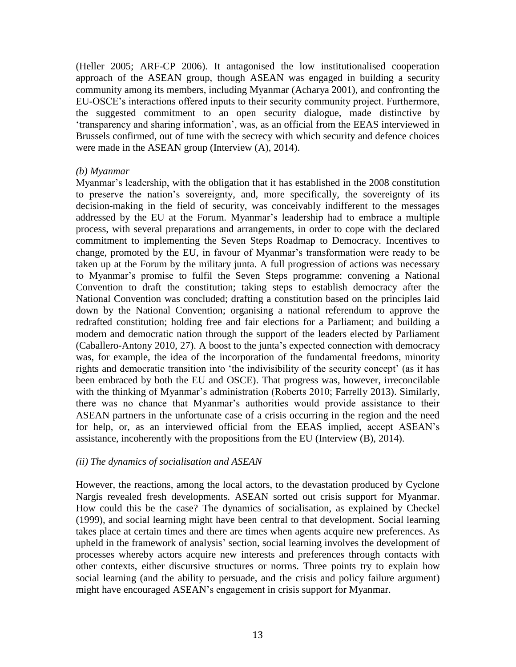(Heller 2005; ARF-CP 2006). It antagonised the low institutionalised cooperation approach of the ASEAN group, though ASEAN was engaged in building a security community among its members, including Myanmar (Acharya 2001), and confronting the EU-OSCE's interactions offered inputs to their security community project. Furthermore, the suggested commitment to an open security dialogue, made distinctive by 'transparency and sharing information', was, as an official from the EEAS interviewed in Brussels confirmed, out of tune with the secrecy with which security and defence choices were made in the ASEAN group (Interview (A), 2014).

### *(b) Myanmar*

Myanmar's leadership, with the obligation that it has established in the 2008 constitution to preserve the nation's sovereignty, and, more specifically, the sovereignty of its decision-making in the field of security, was conceivably indifferent to the messages addressed by the EU at the Forum. Myanmar's leadership had to embrace a multiple process, with several preparations and arrangements, in order to cope with the declared commitment to implementing the Seven Steps Roadmap to Democracy. Incentives to change, promoted by the EU, in favour of Myanmar's transformation were ready to be taken up at the Forum by the military junta. A full progression of actions was necessary to Myanmar's promise to fulfil the Seven Steps programme: convening a National Convention to draft the constitution; taking steps to establish democracy after the National Convention was concluded; drafting a constitution based on the principles laid down by the National Convention; organising a national referendum to approve the redrafted constitution; holding free and fair elections for a Parliament; and building a modern and democratic nation through the support of the leaders elected by Parliament (Caballero-Antony 2010, 27). A boost to the junta's expected connection with democracy was, for example, the idea of the incorporation of the fundamental freedoms, minority rights and democratic transition into 'the indivisibility of the security concept' (as it has been embraced by both the EU and OSCE). That progress was, however, irreconcilable with the thinking of Myanmar's administration (Roberts 2010; Farrelly 2013). Similarly, there was no chance that Myanmar's authorities would provide assistance to their ASEAN partners in the unfortunate case of a crisis occurring in the region and the need for help, or, as an interviewed official from the EEAS implied, accept ASEAN's assistance, incoherently with the propositions from the EU (Interview (B), 2014).

# *(ii) The dynamics of socialisation and ASEAN*

However, the reactions, among the local actors, to the devastation produced by Cyclone Nargis revealed fresh developments. ASEAN sorted out crisis support for Myanmar. How could this be the case? The dynamics of socialisation, as explained by Checkel (1999), and social learning might have been central to that development. Social learning takes place at certain times and there are times when agents acquire new preferences. As upheld in the framework of analysis' section, social learning involves the development of processes whereby actors acquire new interests and preferences through contacts with other contexts, either discursive structures or norms. Three points try to explain how social learning (and the ability to persuade, and the crisis and policy failure argument) might have encouraged ASEAN's engagement in crisis support for Myanmar.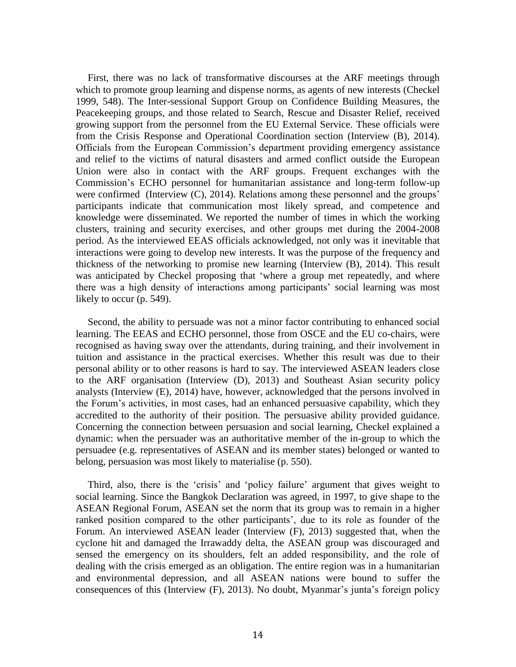First, there was no lack of transformative discourses at the ARF meetings through which to promote group learning and dispense norms, as agents of new interests (Checkel 1999, 548). The Inter-sessional Support Group on Confidence Building Measures, the Peacekeeping groups, and those related to Search, Rescue and Disaster Relief, received growing support from the personnel from the EU External Service. These officials were from the Crisis Response and Operational Coordination section (Interview (B), 2014). Officials from the European Commission's department providing emergency assistance and relief to the victims of natural disasters and armed conflict outside the European Union were also in contact with the ARF groups. Frequent exchanges with the Commission's ECHO personnel for humanitarian assistance and long-term follow-up were confirmed (Interview (C), 2014). Relations among these personnel and the groups' participants indicate that communication most likely spread, and competence and knowledge were disseminated. We reported the number of times in which the working clusters, training and security exercises, and other groups met during the 2004-2008 period. As the interviewed EEAS officials acknowledged, not only was it inevitable that interactions were going to develop new interests. It was the purpose of the frequency and thickness of the networking to promise new learning (Interview (B), 2014). This result was anticipated by Checkel proposing that 'where a group met repeatedly, and where there was a high density of interactions among participants' social learning was most likely to occur (p. 549).

Second, the ability to persuade was not a minor factor contributing to enhanced social learning. The EEAS and ECHO personnel, those from OSCE and the EU co-chairs, were recognised as having sway over the attendants, during training, and their involvement in tuition and assistance in the practical exercises. Whether this result was due to their personal ability or to other reasons is hard to say. The interviewed ASEAN leaders close to the ARF organisation (Interview (D), 2013) and Southeast Asian security policy analysts (Interview (E), 2014) have, however, acknowledged that the persons involved in the Forum's activities, in most cases, had an enhanced persuasive capability, which they accredited to the authority of their position. The persuasive ability provided guidance. Concerning the connection between persuasion and social learning, Checkel explained a dynamic: when the persuader was an authoritative member of the in-group to which the persuadee (e.g. representatives of ASEAN and its member states) belonged or wanted to belong, persuasion was most likely to materialise (p. 550).

Third, also, there is the 'crisis' and 'policy failure' argument that gives weight to social learning. Since the Bangkok Declaration was agreed, in 1997, to give shape to the ASEAN Regional Forum, ASEAN set the norm that its group was to remain in a higher ranked position compared to the other participants', due to its role as founder of the Forum. An interviewed ASEAN leader (Interview (F), 2013) suggested that, when the cyclone hit and damaged the Irrawaddy delta, the ASEAN group was discouraged and sensed the emergency on its shoulders, felt an added responsibility, and the role of dealing with the crisis emerged as an obligation. The entire region was in a humanitarian and environmental depression, and all ASEAN nations were bound to suffer the consequences of this (Interview (F), 2013). No doubt, Myanmar's junta's foreign policy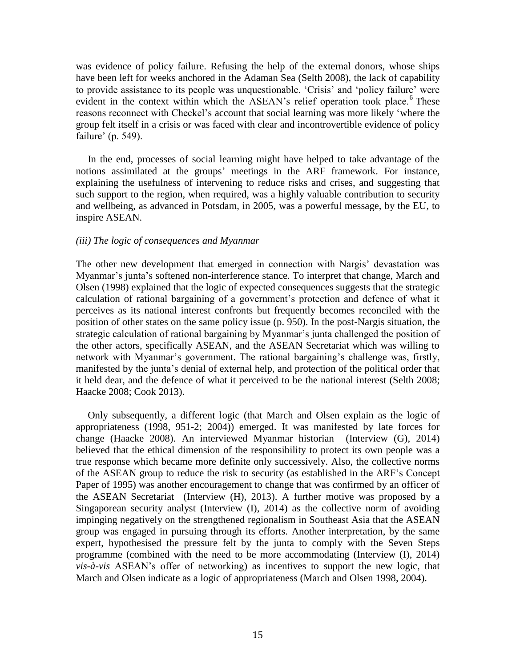was evidence of policy failure. Refusing the help of the external donors, whose ships have been left for weeks anchored in the Adaman Sea (Selth 2008), the lack of capability to provide assistance to its people was unquestionable. 'Crisis' and 'policy failure' were evident in the context within which the ASEAN's relief operation took place.<sup>6</sup> These reasons reconnect with Checkel's account that social learning was more likely 'where the group felt itself in a crisis or was faced with clear and incontrovertible evidence of policy failure' (p. 549).

In the end, processes of social learning might have helped to take advantage of the notions assimilated at the groups' meetings in the ARF framework. For instance, explaining the usefulness of intervening to reduce risks and crises, and suggesting that such support to the region, when required, was a highly valuable contribution to security and wellbeing, as advanced in Potsdam, in 2005, was a powerful message, by the EU, to inspire ASEAN.

#### *(iii) The logic of consequences and Myanmar*

The other new development that emerged in connection with Nargis' devastation was Myanmar's junta's softened non-interference stance. To interpret that change, March and Olsen (1998) explained that the logic of expected consequences suggests that the strategic calculation of rational bargaining of a government's protection and defence of what it perceives as its national interest confronts but frequently becomes reconciled with the position of other states on the same policy issue (p. 950). In the post-Nargis situation, the strategic calculation of rational bargaining by Myanmar's junta challenged the position of the other actors, specifically ASEAN, and the ASEAN Secretariat which was willing to network with Myanmar's government. The rational bargaining's challenge was, firstly, manifested by the junta's denial of external help, and protection of the political order that it held dear, and the defence of what it perceived to be the national interest (Selth 2008; Haacke 2008; Cook 2013).

Only subsequently, a different logic (that March and Olsen explain as the logic of appropriateness (1998, 951-2; 2004)) emerged. It was manifested by late forces for change (Haacke 2008). An interviewed Myanmar historian (Interview (G), 2014) believed that the ethical dimension of the responsibility to protect its own people was a true response which became more definite only successively. Also, the collective norms of the ASEAN group to reduce the risk to security (as established in the ARF's Concept Paper of 1995) was another encouragement to change that was confirmed by an officer of the ASEAN Secretariat (Interview (H), 2013). A further motive was proposed by a Singaporean security analyst (Interview (I), 2014) as the collective norm of avoiding impinging negatively on the strengthened regionalism in Southeast Asia that the ASEAN group was engaged in pursuing through its efforts. Another interpretation, by the same expert, hypothesised the pressure felt by the junta to comply with the Seven Steps programme (combined with the need to be more accommodating (Interview (I), 2014) *vis-à-vis* ASEAN's offer of networking) as incentives to support the new logic, that March and Olsen indicate as a logic of appropriateness (March and Olsen 1998, 2004).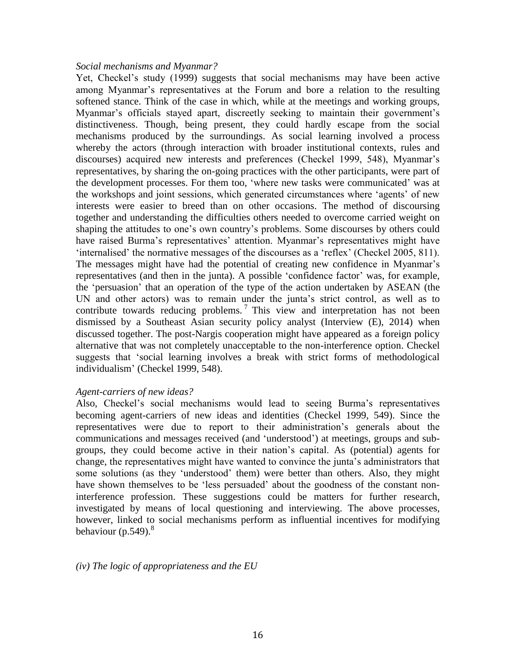#### *Social mechanisms and Myanmar?*

Yet, Checkel's study (1999) suggests that social mechanisms may have been active among Myanmar's representatives at the Forum and bore a relation to the resulting softened stance. Think of the case in which, while at the meetings and working groups, Myanmar's officials stayed apart, discreetly seeking to maintain their government's distinctiveness. Though, being present, they could hardly escape from the social mechanisms produced by the surroundings. As social learning involved a process whereby the actors (through interaction with broader institutional contexts, rules and discourses) acquired new interests and preferences (Checkel 1999, 548), Myanmar's representatives, by sharing the on-going practices with the other participants, were part of the development processes. For them too, 'where new tasks were communicated' was at the workshops and joint sessions, which generated circumstances where 'agents' of new interests were easier to breed than on other occasions. The method of discoursing together and understanding the difficulties others needed to overcome carried weight on shaping the attitudes to one's own country's problems. Some discourses by others could have raised Burma's representatives' attention. Myanmar's representatives might have 'internalised' the normative messages of the discourses as a 'reflex' (Checkel 2005, 811). The messages might have had the potential of creating new confidence in Myanmar's representatives (and then in the junta). A possible 'confidence factor' was, for example, the 'persuasion' that an operation of the type of the action undertaken by ASEAN (the UN and other actors) was to remain under the junta's strict control, as well as to contribute towards reducing problems.<sup>7</sup> This view and interpretation has not been dismissed by a Southeast Asian security policy analyst (Interview (E), 2014) when discussed together. The post-Nargis cooperation might have appeared as a foreign policy alternative that was not completely unacceptable to the non-interference option. Checkel suggests that 'social learning involves a break with strict forms of methodological individualism' (Checkel 1999, 548).

# *Agent-carriers of new ideas?*

Also, Checkel's social mechanisms would lead to seeing Burma's representatives becoming agent-carriers of new ideas and identities (Checkel 1999, 549). Since the representatives were due to report to their administration's generals about the communications and messages received (and 'understood') at meetings, groups and subgroups, they could become active in their nation's capital. As (potential) agents for change, the representatives might have wanted to convince the junta's administrators that some solutions (as they 'understood' them) were better than others. Also, they might have shown themselves to be 'less persuaded' about the goodness of the constant noninterference profession. These suggestions could be matters for further research, investigated by means of local questioning and interviewing. The above processes, however, linked to social mechanisms perform as influential incentives for modifying behaviour (p.549). $^8$ 

*(iv) The logic of appropriateness and the EU*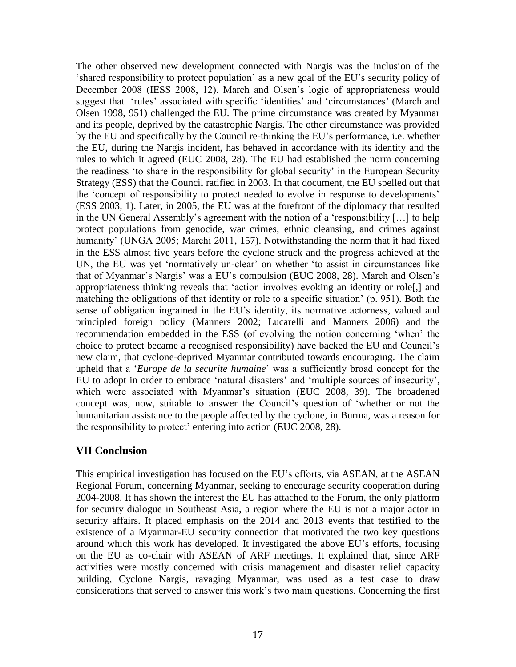The other observed new development connected with Nargis was the inclusion of the 'shared responsibility to protect population' as a new goal of the EU's security policy of December 2008 (IESS 2008, 12). March and Olsen's logic of appropriateness would suggest that 'rules' associated with specific 'identities' and 'circumstances' (March and Olsen 1998, 951) challenged the EU. The prime circumstance was created by Myanmar and its people, deprived by the catastrophic Nargis. The other circumstance was provided by the EU and specifically by the Council re-thinking the EU's performance, i.e. whether the EU, during the Nargis incident, has behaved in accordance with its identity and the rules to which it agreed (EUC 2008, 28). The EU had established the norm concerning the readiness 'to share in the responsibility for global security' in the European Security Strategy (ESS) that the Council ratified in 2003. In that document, the EU spelled out that the 'concept of responsibility to protect needed to evolve in response to developments' (ESS 2003, 1). Later, in 2005, the EU was at the forefront of the diplomacy that resulted in the UN General Assembly's agreement with the notion of a 'responsibility […] to help protect populations from genocide, war crimes, ethnic cleansing, and crimes against humanity' (UNGA 2005; Marchi 2011, 157). Notwithstanding the norm that it had fixed in the ESS almost five years before the cyclone struck and the progress achieved at the UN, the EU was yet 'normatively un-clear' on whether 'to assist in circumstances like that of Myanmar's Nargis' was a EU's compulsion (EUC 2008, 28). March and Olsen's appropriateness thinking reveals that 'action involves evoking an identity or role[,] and matching the obligations of that identity or role to a specific situation' (p. 951). Both the sense of obligation ingrained in the EU's identity, its normative actorness, valued and principled foreign policy (Manners 2002; Lucarelli and Manners 2006) and the recommendation embedded in the ESS (of evolving the notion concerning 'when' the choice to protect became a recognised responsibility) have backed the EU and Council's new claim, that cyclone-deprived Myanmar contributed towards encouraging. The claim upheld that a '*Europe de la securite humaine*' was a sufficiently broad concept for the EU to adopt in order to embrace 'natural disasters' and 'multiple sources of insecurity', which were associated with Myanmar's situation (EUC 2008, 39). The broadened concept was, now, suitable to answer the Council's question of 'whether or not the humanitarian assistance to the people affected by the cyclone, in Burma, was a reason for the responsibility to protect' entering into action (EUC 2008, 28).

# **VII Conclusion**

This empirical investigation has focused on the EU's efforts, via ASEAN, at the ASEAN Regional Forum, concerning Myanmar, seeking to encourage security cooperation during 2004-2008. It has shown the interest the EU has attached to the Forum, the only platform for security dialogue in Southeast Asia, a region where the EU is not a major actor in security affairs. It placed emphasis on the 2014 and 2013 events that testified to the existence of a Myanmar-EU security connection that motivated the two key questions around which this work has developed. It investigated the above EU's efforts, focusing on the EU as co-chair with ASEAN of ARF meetings. It explained that, since ARF activities were mostly concerned with crisis management and disaster relief capacity building, Cyclone Nargis, ravaging Myanmar, was used as a test case to draw considerations that served to answer this work's two main questions. Concerning the first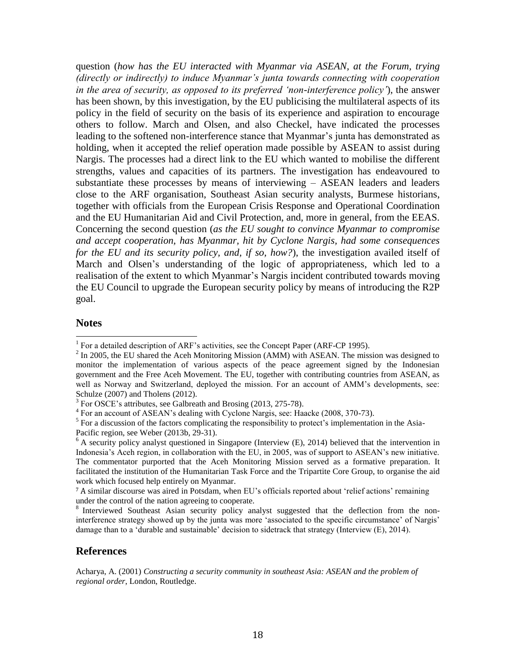question (*how has the EU interacted with Myanmar via ASEAN, at the Forum, trying (directly or indirectly) to induce Myanmar's junta towards connecting with cooperation in the area of security, as opposed to its preferred 'non-interference policy'*), the answer has been shown, by this investigation, by the EU publicising the multilateral aspects of its policy in the field of security on the basis of its experience and aspiration to encourage others to follow. March and Olsen, and also Checkel, have indicated the processes leading to the softened non-interference stance that Myanmar's junta has demonstrated as holding, when it accepted the relief operation made possible by ASEAN to assist during Nargis. The processes had a direct link to the EU which wanted to mobilise the different strengths, values and capacities of its partners. The investigation has endeavoured to substantiate these processes by means of interviewing – ASEAN leaders and leaders close to the ARF organisation, Southeast Asian security analysts, Burmese historians, together with officials from the European Crisis Response and Operational Coordination and the EU Humanitarian Aid and Civil Protection, and, more in general, from the EEAS. Concerning the second question (*as the EU sought to convince Myanmar to compromise and accept cooperation, has Myanmar, hit by Cyclone Nargis, had some consequences for the EU and its security policy, and, if so, how?*), the investigation availed itself of March and Olsen's understanding of the logic of appropriateness, which led to a realisation of the extent to which Myanmar's Nargis incident contributed towards moving the EU Council to upgrade the European security policy by means of introducing the R2P goal.

#### **Notes**

l

#### **References**

Acharya, A. (2001) *Constructing a security community in southeast Asia: ASEAN and the problem of regional order*, London, Routledge.

<sup>&</sup>lt;sup>1</sup> For a detailed description of ARF's activities, see the Concept Paper (ARF-CP 1995).

 $^{2}$  In 2005, the EU shared the Aceh Monitoring Mission (AMM) with ASEAN. The mission was designed to monitor the implementation of various aspects of the peace agreement signed by the Indonesian government and the Free Aceh Movement. The EU, together with contributing countries from ASEAN, as well as Norway and Switzerland, deployed the mission. For an account of AMM's developments, see: Schulze (2007) and Tholens (2012).

<sup>&</sup>lt;sup>3</sup> For OSCE's attributes, see Galbreath and Brosing (2013, 275-78).

<sup>&</sup>lt;sup>4</sup> For an account of ASEAN's dealing with Cyclone Nargis, see: Haacke (2008, 370-73).

<sup>&</sup>lt;sup>5</sup> For a discussion of the factors complicating the responsibility to protect's implementation in the Asia-Pacific region, see Weber (2013b, 29-31).

 $6$  A security policy analyst questioned in Singapore (Interview (E), 2014) believed that the intervention in Indonesia's Aceh region, in collaboration with the EU, in 2005, was of support to ASEAN's new initiative. The commentator purported that the Aceh Monitoring Mission served as a formative preparation. It facilitated the institution of the Humanitarian Task Force and the Tripartite Core Group, to organise the aid work which focused help entirely on Myanmar.

<sup>7</sup> A similar discourse was aired in Potsdam, when EU's officials reported about 'relief actions' remaining under the control of the nation agreeing to cooperate.

<sup>&</sup>lt;sup>8</sup> Interviewed Southeast Asian security policy analyst suggested that the deflection from the noninterference strategy showed up by the junta was more 'associated to the specific circumstance' of Nargis' damage than to a 'durable and sustainable' decision to sidetrack that strategy (Interview (E), 2014).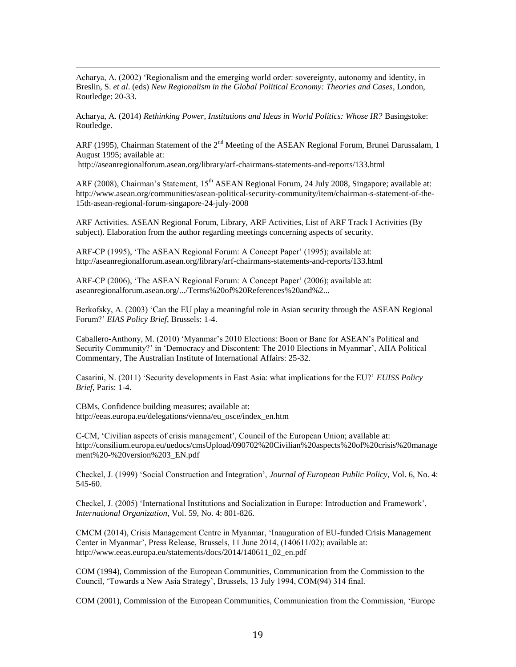Acharya, A. (2002) 'Regionalism and the emerging world order: sovereignty, autonomy and identity, in Breslin, S. *et al*. (eds) *New Regionalism in the Global Political Economy: Theories and Cases*, London, Routledge: 20-33.

Acharya, A. (2014) *Rethinking Power, Institutions and Ideas in World Politics: Whose IR?* Basingstoke: Routledge.

ARF (1995), Chairman Statement of the  $2<sup>nd</sup>$  Meeting of the ASEAN Regional Forum, Brunei Darussalam, 1 August 1995; available at:

<http://aseanregionalforum.asean.org/library/arf-chairmans-statements-and-reports/133.html>

 $\overline{a}$ 

ARF (2008), Chairman's Statement, 15<sup>th</sup> ASEAN Regional Forum, 24 July 2008, Singapore; available at: [http://www.asean.org/communities/asean-political-security-community/item/chairman-s-statement-of-the-](http://www.asean.org/communities/asean-political-security-community/item/chairman-s-statement-of-the-15th-asean-regional-forum-singapore-24-july-2008)[15th-asean-regional-forum-singapore-24-july-2008](http://www.asean.org/communities/asean-political-security-community/item/chairman-s-statement-of-the-15th-asean-regional-forum-singapore-24-july-2008) 

ARF Activities. ASEAN Regional Forum, Library, ARF Activities, List of ARF Track I Activities (By subject). Elaboration from the author regarding meetings concerning aspects of security.

ARF-CP (1995), 'The ASEAN Regional Forum: A Concept Paper' (1995); available at: <http://aseanregionalforum.asean.org/library/arf-chairmans-statements-and-reports/133.html>

ARF-CP (2006), 'The ASEAN Regional Forum: A Concept Paper' (2006); available at: aseanregionalforum.asean.org/.../Terms%20of%20References%20and%2...

Berkofsky, A. (2003) 'Can the EU play a meaningful role in Asian security through the ASEAN Regional Forum?' *EIAS Policy Brief*, Brussels: 1-4.

Caballero-Anthony, M. (2010) 'Myanmar's 2010 Elections: Boon or Bane for ASEAN's Political and Security Community?' in 'Democracy and Discontent: The 2010 Elections in Myanmar', AIIA Political Commentary, The Australian Institute of International Affairs: 25-32.

Casarini, N. (2011) 'Security developments in East Asia: what implications for the EU?' *EUISS Policy Brief*, Paris: 1-4.

CBMs, Confidence building measures; available at: [http://eeas.europa.eu/delegations/vienna/eu\\_osce/index\\_en.htm](http://eeas.europa.eu/delegations/vienna/eu_osce/index_en.htm)

C-CM, 'Civilian aspects of crisis management', Council of the European Union; available at: [http://consilium.europa.eu/uedocs/cmsUpload/090702%20Civilian%20aspects%20of%20crisis%20manage](http://consilium.europa.eu/uedocs/cmsUpload/090702%20Civilian%20aspects%20of%20crisis%20management%20-%20version%203_EN.pdf) [ment%20-%20version%203\\_EN.pdf](http://consilium.europa.eu/uedocs/cmsUpload/090702%20Civilian%20aspects%20of%20crisis%20management%20-%20version%203_EN.pdf)

Checkel, J. (1999) 'Social Construction and Integration', *Journal of European Public Policy*, Vol. 6, No. 4: 545-60.

Checkel, J. (2005) 'International Institutions and Socialization in Europe: Introduction and Framework', *International Organization*, Vol. 59, No. 4: 801-826.

CMCM (2014), Crisis Management Centre in Myanmar, 'Inauguration of EU-funded Crisis Management Center in Myanmar', Press Release, Brussels, 11 June 2014, (140611/02); available at: http://www.eeas.europa.eu/statements/docs/2014/140611\_02\_en.pdf

COM (1994), Commission of the European Communities, Communication from the Commission to the Council, 'Towards a New Asia Strategy', Brussels, 13 July 1994, COM(94) 314 final.

COM (2001), Commission of the European Communities, Communication from the Commission, 'Europe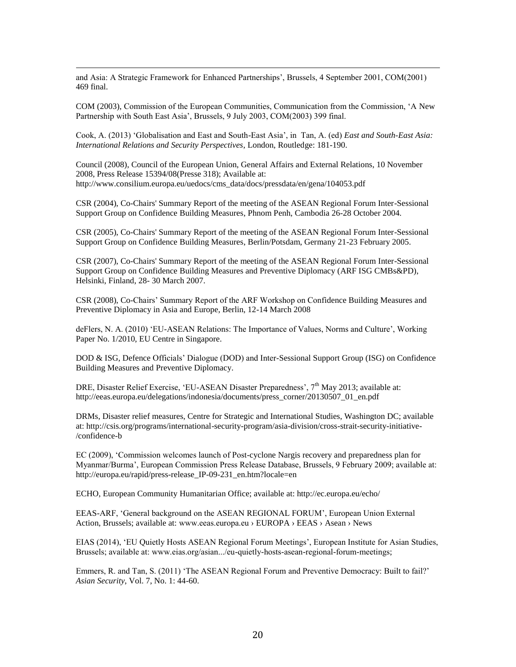and Asia: A Strategic Framework for Enhanced Partnerships', Brussels, 4 September 2001, COM(2001) 469 final.

 $\overline{a}$ 

COM (2003), Commission of the European Communities, Communication from the Commission, 'A New Partnership with South East Asia', Brussels, 9 July 2003, COM(2003) 399 final.

Cook, A. (2013) 'Globalisation and East and South-East Asia', in Tan, A. (ed) *East and South-East Asia: International Relations and Security Perspectives*, London, Routledge: 181-190.

Council (2008), Council of the European Union, General Affairs and External Relations, 10 November 2008, Press Release 15394/08(Presse 318); Available at: [http://www.consilium.europa.eu/uedocs/cms\\_data/docs/pressdata/en/gena/104053.pdf](http://www.consilium.europa.eu/uedocs/cms_data/docs/pressdata/en/gena/104053.pdf)

CSR (2004), Co-Chairs' Summary Report of the meeting of the ASEAN Regional Forum Inter-Sessional Support Group on Confidence Building Measures, Phnom Penh, Cambodia 26-28 October 2004.

CSR (2005), Co-Chairs' Summary Report of the meeting of the ASEAN Regional Forum Inter-Sessional Support Group on Confidence Building Measures, Berlin/Potsdam, Germany 21-23 February 2005.

CSR (2007), Co-Chairs' Summary Report of the meeting of the ASEAN Regional Forum Inter-Sessional Support Group on Confidence Building Measures and Preventive Diplomacy (ARF ISG CMBs&PD), Helsinki, Finland, 28- 30 March 2007.

CSR (2008), Co-Chairs' Summary Report of the ARF Workshop on Confidence Building Measures and Preventive Diplomacy in Asia and Europe, Berlin, 12-14 March 2008

deFlers, N. A. (2010) 'EU-ASEAN Relations: The Importance of Values, Norms and Culture', Working Paper No. 1/2010, EU Centre in Singapore.

DOD & ISG, Defence Officials' Dialogue (DOD) and Inter-Sessional Support Group (ISG) on Confidence Building Measures and Preventive Diplomacy.

DRE, Disaster Relief Exercise, 'EU-ASEAN Disaster Preparedness', 7<sup>th</sup> May 2013; available at: http://eeas.europa.eu/delegations/indonesia/documents/press\_corner/20130507\_01\_en.pdf

DRMs, Disaster relief measures, Centre for Strategic and International Studies, Washington DC; available at: http://csis.org/programs/international-security-program/asia-division/cross-strait-security-initiative- /confidence-b

EC (2009), 'Commission welcomes launch of Post-cyclone Nargis recovery and preparedness plan for Myanmar/Burma', European Commission Press Release Database, Brussels, 9 February 2009; available at: http://europa.eu/rapid/press-release IP-09-231 en.htm?locale=en

ECHO, European Community Humanitarian Office; available at: http://ec.europa.eu/echo/

EEAS-ARF, 'General background on the ASEAN REGIONAL FORUM', European Union External Action, Brussels; available at: www.eeas.europa.eu › [EUROPA](http://europa.eu/index_en.htm) › [EEAS](http://www.eeas.europa.eu/index_en.htm) › [Asean](http://www.eeas.europa.eu/asean/index_en.htm) › [News](http://www.eeas.europa.eu/asean/news/index_en.htm)

EIAS (2014), 'EU Quietly Hosts ASEAN Regional Forum Meetings', European Institute for Asian Studies, Brussels; available at: www.eias.org/asian.../eu-quietly-hosts-asean-regional-forum-meetings;

Emmers, R. and Tan, S. (2011) 'The ASEAN Regional Forum and Preventive Democracy: Built to fail?' *Asian Security*, Vol. 7, No. 1: 44-60.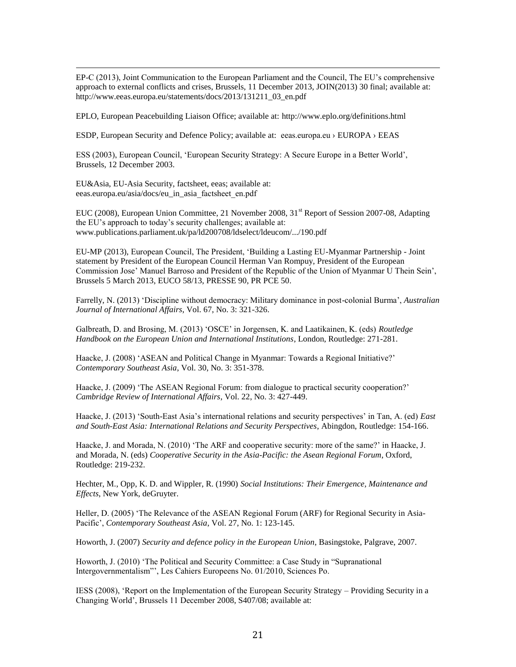EP-C (2013), Joint Communication to the European Parliament and the Council, The EU's comprehensive approach to external conflicts and crises, Brussels, 11 December 2013, JOIN(2013) 30 final; available at: http://www.eeas.europa.eu/statements/docs/2013/131211\_03\_en.pdf

EPLO, European Peacebuilding Liaison Office; available at:<http://www.eplo.org/definitions.html>

ESDP, European Security and Defence Policy; available at: eeas.europa.eu › [EUROPA](http://europa.eu/index_en.htm) › [EEAS](http://eeas.europa.eu/index_en.htm)

ESS (2003), European Council, 'European Security Strategy: A Secure Europe in a Better World', Brussels, 12 December 2003.

EU&Asia, EU-Asia Security, factsheet, eeas; available at: eeas.europa.eu/asia/docs/eu\_in\_asia\_factsheet\_en.pdf

 $\overline{a}$ 

EUC (2008), European Union Committee, 21 November 2008, 31<sup>st</sup> Report of Session 2007-08, Adapting the EU's approach to today's security challenges; available at: www.publications.parliament.uk/pa/ld200708/ldselect/ldeucom/.../190.pdf

EU-MP (2013), European Council, The President, 'Building a Lasting EU-Myanmar Partnership - Joint statement by President of the European Council Herman Van Rompuy, President of the European Commission Jose' Manuel Barroso and President of the Republic of the Union of Myanmar U Thein Sein', Brussels 5 March 2013, EUCO 58/13, PRESSE 90, PR PCE 50.

Farrelly, N. (2013) 'Discipline without democracy: Military dominance in post-colonial Burma', *Australian Journal of International Affairs*, Vol. 67, No. 3: 321-326.

Galbreath, D. and Brosing, M. (2013) 'OSCE' in Jorgensen, K. and Laatikainen, K. (eds) *Routledge Handbook on the European Union and International Institutions*, London, Routledge: 271-281.

Haacke, J. (2008) 'ASEAN and Political Change in Myanmar: Towards a Regional Initiative?' *Contemporary Southeast Asia*, Vol. 30, No. 3: 351-378.

Haacke, J. (2009) 'The ASEAN Regional Forum: from dialogue to practical security cooperation?' *Cambridge Review of International Affairs*, Vol. 22, No. 3: 427-449.

Haacke, J. (2013) 'South-East Asia's international relations and security perspectives' in Tan, A. (ed) *East and South-East Asia: International Relations and Security Perspectives*, Abingdon, Routledge: 154-166.

Haacke, J. and Morada, N. (2010) 'The ARF and cooperative security: more of the same?' in Haacke, J. and Morada, N. (eds) *Cooperative Security in the Asia-Pacific: the Asean Regional Forum*, Oxford, Routledge: 219-232.

Hechter, M., Opp, K. D. and Wippler, R. (1990) *Social Institutions: Their Emergence, Maintenance and Effects*, New York, deGruyter.

Heller, D. (2005) 'The Relevance of the ASEAN Regional Forum (ARF) for Regional Security in Asia-Pacific', *Contemporary Southeast Asia*, Vol. 27, No. 1: 123-145.

Howorth, J. (2007) *Security and defence policy in the European Union*, Basingstoke, Palgrave, 2007.

Howorth, J. (2010) 'The Political and Security Committee: a Case Study in "Supranational Intergovernmentalism"', Les Cahiers Europeens No. 01/2010, Sciences Po.

IESS (2008), 'Report on the Implementation of the European Security Strategy – Providing Security in a Changing World', Brussels 11 December 2008, S407/08; available at: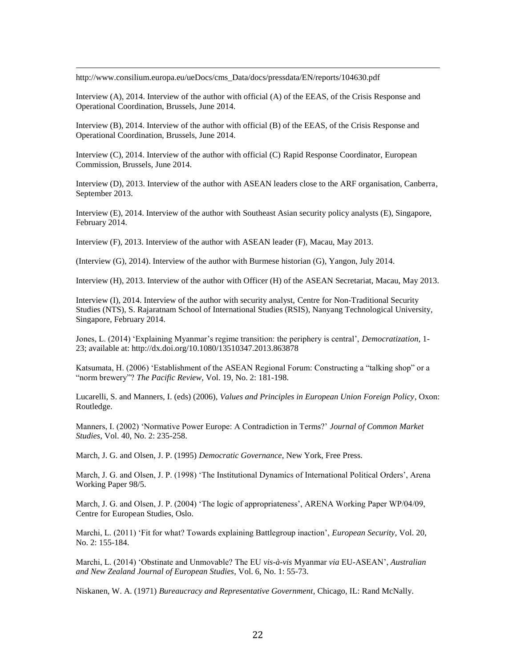[http://www.consilium.europa.eu/ueDocs/cms\\_Data/docs/pressdata/EN/reports/104630.pdf](http://www.consilium.europa.eu/ueDocs/cms_Data/docs/pressdata/EN/reports/104630.pdf)

 $\overline{a}$ 

Interview (A), 2014. Interview of the author with official (A) of the EEAS, of the Crisis Response and Operational Coordination, Brussels, June 2014.

Interview (B), 2014. Interview of the author with official (B) of the EEAS, of the Crisis Response and Operational Coordination, Brussels, June 2014.

Interview (C), 2014. Interview of the author with official (C) Rapid Response Coordinator, European Commission, Brussels, June 2014.

Interview (D), 2013. Interview of the author with ASEAN leaders close to the ARF organisation, Canberra, September 2013.

Interview (E), 2014. Interview of the author with Southeast Asian security policy analysts (E), Singapore, February 2014.

Interview (F), 2013. Interview of the author with ASEAN leader (F), Macau, May 2013.

(Interview (G), 2014). Interview of the author with Burmese historian (G), Yangon, July 2014.

Interview (H), 2013. Interview of the author with Officer (H) of the ASEAN Secretariat, Macau, May 2013.

Interview (I), 2014. Interview of the author with security analyst, Centre for Non-Traditional Security Studies (NTS), S. Rajaratnam School of International Studies (RSIS), Nanyang Technological University, Singapore, February 2014.

Jones, L. (2014) 'Explaining Myanmar's regime transition: the periphery is central', *Democratization*, 1- 23; available at:<http://dx.doi.org/10.1080/13510347.2013.863878>

Katsumata, H. (2006) 'Establishment of the ASEAN Regional Forum: Constructing a "talking shop" or a "norm brewery"? *The Pacific Review*, Vol. 19, No. 2: 181-198.

Lucarelli, S. and Manners, I. (eds) (2006), *Values and Principles in European Union Foreign Policy*, Oxon: Routledge.

Manners, I. (2002) 'Normative Power Europe: A Contradiction in Terms?' *Journal of Common Market Studies*, Vol. 40, No. 2: 235-258.

March, J. G. and Olsen, J. P. (1995) *Democratic Governance*, New York, Free Press.

March, J. G. and Olsen, J. P. (1998) 'The Institutional Dynamics of International Political Orders', Arena Working Paper 98/5.

March, J. G. and Olsen, J. P. (2004) 'The logic of appropriateness', ARENA Working Paper WP/04/09, Centre for European Studies, Oslo.

Marchi, L. (2011) 'Fit for what? Towards explaining Battlegroup inaction', *European Security*, Vol. 20, No. 2: 155-184.

Marchi, L. (2014) 'Obstinate and Unmovable? The EU *vis-à-vis* Myanmar *via* EU-ASEAN', *Australian and New Zealand Journal of European Studies*, Vol. 6, No. 1: 55-73.

Niskanen, W. A. (1971) *Bureaucracy and Representative Government*, Chicago, IL: Rand McNally.